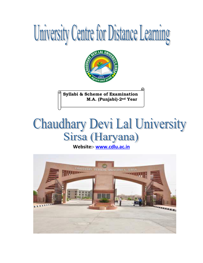# University Centre for Distance Learning



**Syllabi & Scheme of Examination M.A. (Punjabi)-2nd Year**

# **Chaudhary Devi Lal University** Sirsa (Haryana)

**Website:- [www.cdlu.ac.in](http://www.cdlu.ac.in/)** 

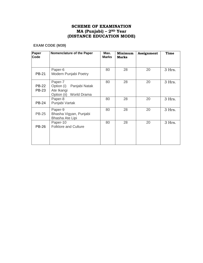#### **SCHEME OF EXAMINATION MA (Punjabi) – 2ND Year (DISTANCE EDUCATION MODE)**

#### **EXAM CODE (M39)**

| Paper<br>Code         | Nomenclature of the Paper                                                       | Max.<br><b>Marks</b> | Minimum<br><b>Marks</b> | Assignment | <b>Time</b> |
|-----------------------|---------------------------------------------------------------------------------|----------------------|-------------------------|------------|-------------|
| <b>PB-21</b>          | Paper-6<br>Modern Punjabi Poetry                                                | 80                   | 28                      | 20         | 3 Hrs.      |
| <b>PB-22</b><br>PB-23 | Paper-7<br>Option (i)<br>Panjabi Natak<br>Ate Ikangi<br>Option (ii) World Drama | 80                   | 28                      | 20         | 3 Hrs.      |
| <b>PB-24</b>          | Paper-8<br>Punjabi Vartak                                                       | 80                   | 28                      | 20         | 3 Hrs.      |
| <b>PB-25</b>          | Paper-9<br>Bhasha Vigyan, Punjabi<br>Bhasha Ate Lipi                            | 80                   | 28                      | 20         | 3 Hrs.      |
| <b>PB-26</b>          | Paper-10<br><b>Folklore and Culture</b>                                         | 80                   | 28                      | 20         | 3 Hrs.      |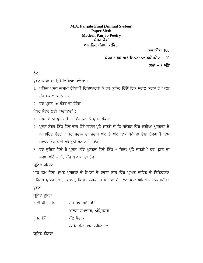**M.A. Panjabi Final (Annual System) Paper Sixth Modern Panjab Poetry** ਪੇਪਰ ਛੇਵਾਂ ਆਧਨਿਕ ਪੰਜਾਬੀ ਕਵਿਤਾ

ਕਲ ਅੰਕ: 100

ਪੇਪਰ : 80 ਅਤੇ ਇਨਟਰਨਲ ਅਸੈਸਮੈਂਟ : 20

ਸਮਾਂ – 3 ਘੰਟੇ

#### ਨੋਟ:

ਪ੍ਰਸ਼ਨ ਪੱਤਰ ਦਾ ਉਤੇ ਲਿਖਿਆ ਜਾਵੇਗਾ :

- 1. ਪਹਿਲਾ ਪ੍ਰਸ਼ਨ ਲਾਜਮੀ ਹੋਵੇਗਾ ੀ ਵਿਦਿਆਰਥੀ ਨੇ ਹਰ ਯੂਨਿਟ ਵਿੱਚੋਂ ਇਕ ਸਵਾਲ ਕਰਨਾ ਹੈ ੀ ਕੁੱਲ ਪੰਜ ਸਵਾਲ ਕਰਨੇ ਹਨ
- $2.$  ਹਰ ਪੁਸ਼ਨ  $16$  ਨੰਬਰ ਦਾ ਹੋਵੇਗ

ਪੇਪਰ ਸੇਟਰ ਲਈ ਹਿਦਾਇਤਾਂ $\cdot$ 

- 1. ਪੇਪਰ ਸੇਟਰ ਪੁਸ਼ਨ ਪੱਤਰ ਵਿੱਚ ਕਲ ਨੌਂ ਪੁਸ਼ਨ ਪੱਛੇਗਾ
- 2. ਪ੍ਰਸ਼ਨ ਨੰਬਰ ਇੱਕ ਵਿੱਚ ਚਾਰ ਛੋਟੇ ਸਵਾਲ ਪੁੱਛੇ ਜਾਣਗੇ ਜੇ ਕਿ ਸਲੇਬਸ ਵਿੱਚ ਲਗੀਆ ਪੁਸਤਕਾਂ ਤੇ ਆਧਾਰਿਤ ਹੋਣਗੇ**ੀ ਹਰ ਸਵਾਲ ਦਾ ਜਵਾਬ ਘੱਟ ਤੋਂ ਘੱਟ ਇਕ ਪੱਨੇ** ਦਾ ਦੇਣਾ ਹੋਵੇਗਾ ੀ ਇਸ ਸਵਾਲ ਵਿੱਚ ਕੋਈ ਅੰਦਰਨੀ ਛੋਟ ਨਹੀ ਹੋਵੇਗੀ
- 3. ਹਰ ਯੁਨਿਟ ਵਿੱਚੋ ਦੇ ਪ੍ਰਸ਼ਨ (ਹੱਰ ਪੁਸਤਕ ਵਿੱਚੋ ਇੱਕ ਇੱਕ) ਪੁੱਛੇ ਜਾਣਗੇ ੀ ਹਰ ਪ੍ਰਸ਼ਨ ਦਾ ਜਵਾਬ ਘੱਟੋ - ਘੱਟ ਪੰਜ ਪੁਨਿਆ ਦਾ ਹੋਵੇ

ਯਨਿਟ ਪਹਿਲਾ

ਪਾਠ ਕਮ ਵਿੱਚ ਪ੍ਰਾਪਤ ਪੁਸਤਕਾ ਦੇ ਲੇਖਕਾਂ ਦੇ ਰਚਨਾ ਕਾਲ ਵਿੱਚ ਪ੍ਰਾਪਤ ਸਾਹਿਤ ਦੇ ਇਤਿਹਾਸਕ ਪਰਿਪੇਖ ਪ੍ਰਵਿਰਤੀਆ, ਵਿਕਾਸ, ਵਿਭਿਨ ਲੇਖਕਾ ਤੇ ਧਾਰਾਵਾ ਦੇ ਤੁਲਨਾਤਮਕ ਅਧਿਐਨ ਨਾਲ ਸਬੰਧਤ ਪ੍ਰਸ਼ਨ

ਯੁਨਿਟ ਦੁਸਰਾ

ਭਾਈ ਵੀਰ ਸਿੰਘ ਮੇਰੇ ਸਾਈਆਂ ਜਿੳ ਖਾਲਸਾ ਸਮਾਚਾਰ, ਅੰਮ੍ਰਿਤਸਰ ਪੁਰਨ ਸਿੰਘ ਕੁਲੋ ਮੈਦਾਨ ਲਾਹੋਰ ਬੁੱਕ ਸਾਪ, ਲੁਧਿਆਣਾ

ਯੁਨਿਟ ਤੀਸਰਾ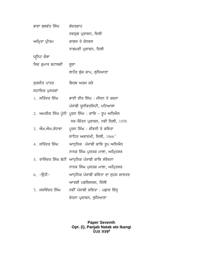|                  | ਭਾਵਾ ਬਲਵੰਤ ਸਿੰਘ | ਬੰਦਰਗਾਹ                                            |
|------------------|-----------------|----------------------------------------------------|
|                  |                 | ਨਵਯੁਗ ਪ੍ਰਕਾਸ਼ਨ, ਦਿਲੀ                               |
|                  | ਅਮ੍ਰਿਤਾ ਪ੍ਰੀਤਮ  | ਕਾਗਜ ਤੇ ਕੇਨਵਸ                                      |
|                  |                 | ਨਾਗਮਣੀ ਪ੍ਰਕਾਸ਼ਨ, ਦਿਲੀ                              |
|                  | ਯੁਨਿਟ ਚੌਥਾ      |                                                    |
| ਸਿਵ ਕੁਮਾਰ ਬਟਾਲਵੀ |                 | ਲੁਣਾ                                               |
|                  |                 | ਲਾਹੌਰ ਬੁੱਕ ਸ਼ਾਪ, ਲੁਧਿਆਣਾ                           |
|                  | ਸੁਰਜੀਤ ਪਾਤਰ     | ਬਿਰਥ ਅਰਜ ਕਰੇ                                       |
|                  | ਸਹਾਇਕ ਪੁਸਤਕਾਂ   |                                                    |
|                  | 1. ਸਤਿੰਦਰ ਸਿੰਘ  | ਭਾਈ ਵੀਰ ਸਿੰਘ : ਜੀਵਨ ਤੇ ਰਚਨਾ                        |
|                  |                 | ਪੰਜਾਬੀ ਯੂਨੀਵਰਸਿਟੀ, ਪਟਿਆਲਾ                          |
|                  |                 | 2.  ਅਮਰੀਕ ਸਿੰਘ ਪੁੰਨੀ  ਪੁਰਨ ਸਿੰਘ : ਕਾਵਿ - ਰੂਪ ਅਧਿਐਨ |
|                  |                 | ਨਵ-ਚਿੰਤਨ ਪ੍ਰਕਾਸ਼ਨ, ਨਵੀ ਦਿਲੀ, 1970                  |
|                  | 3. ਐਮ.ਐਮ.ਰੰਧਾਵਾ | ਪੁਰਨ ਸਿੰਘ : ਜੀਵਨੀ ਤੇ ਕਵਿਤਾ                         |
|                  |                 | ਸਾਹਿਤ ਅਕਾਦਮੀ, ਦਿਲੀ, 1966'                          |
|                  | 4. ਸਤਿੰਦਰ ਸਿੰਘ  | ਆਧੁਨਿਕ  ਪੰਜਾਬੀ ਕਾਵਿ ਰੂਪ ਅਧਿਐਨ                      |
|                  |                 | ਨਾਨਕ ਸਿੰਘ ਪੁਸਤਕ ਮਾਲਾ, ਅਮ੍ਰਿਤਸਰ                     |
|                  |                 | 5.  ਰਾਜਿੰਦਰ ਸਿੰਘ ਭੱਟੀ  ਆਧੁਨਿਕ ਪੰਜਾਬੀ ਕਾਵਿ ਸੰਵੇਦਨਾ  |
|                  |                 | ਨਾਨਕ ਸਿੰਘ ਪੁਸਤਕ ਮਾਲਾ, ਅਮ੍ਰਿਤਸਰ                     |
|                  | 6. –ਉਹੀ–        | ਆਧੁਨਿਕ ਪੰਜਾਬੀ ਕਵਿਤਾ ਦਾ ਸੁਹਜ ਸ਼ਾਸਤਰ                 |
|                  |                 | ਆਰਸ਼ੀ ਪਬਲਿਸਰਜ, ਦਿੱਲੀ                               |
|                  | 7. ਜਸਵਿੰਦਰ ਸਿੰਘ | ਨਵੀਂ ਪੰਜਾਬੀ ਕਵਿਤਾ : ਪਛਾਣ ਚਿੰਨ੍ਹ                    |
|                  |                 | ਚੇਤਨਾ ਪ੍ਰਕਾਸ਼ਨ, ਲੁਧਿਆਣਾ                            |

#### **Paper Seventh Opt. (i), Panjab Natak ate Ikangi** ਪੇਪਰ ਸਤਵਾਂ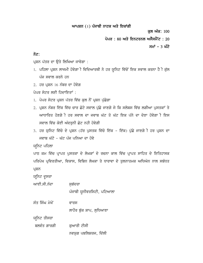#### ਆਪਸ਼ਨ $(1)$  ਪੰਜਾਬੀ ਨਾਟਕ ਅਤੇ ਇਕਾਂਗੀ

ਕਲ ਅੰਕ: 100

ਪੇਪਰ : 80 ਅਤੇ ਇਨਟਰਨਲ ਅਸੈਸਮੈਂਟ : 20

 $HH<sup>†</sup> - 3 W<sup>2</sup>$ 

#### ਨੋਟ:

ਪ੍ਰਸ਼ਨ ਪੱਤਰ ਦਾ ਉਤੇ ਲਿਖਿਆ ਜਾਵੇਗਾ :

- 1. ਪਹਿਲਾ ਪ੍ਰਸ਼ਨ ਲਾਜਮੀ ਹੋਵੇਗਾ ੀ ਵਿਦਿਆਰਥੀ ਨੇ ਹਰ ਯੁਨਿਟ ਵਿੱਚੋਂ ਇਕ ਸਵਾਲ ਕਰਨਾ ਹੈ ੀ ਕੁੱਲ ਪੰਜ ਸਵਾਲ ਕਰਨੇ ਹਨ
- $2.$  ਹਰ ਪ੍ਰਸ਼ਨ  $16$  ਨੰਬਰ ਦਾ ਹੋਵੇਗ

ਪੇਪਰ ਸੇਟਰ ਲਈ ਹਿਦਾਇਤਾਂ :

- 1. ਪੇਪਰ ਸੇਟਰ ਪ੍ਰਸ਼ਨ ਪੱਤਰ ਵਿੱਚ ਕੁਲ ਨੌਂ ਪ੍ਰਸ਼ਨ ਪੁੱਛੇਗਾ
- 2. ਪ੍ਰਸ਼ਨ ਨੰਬਰ ਇੱਕ ਵਿੱਚ ਚਾਰ ਛੋਟੇ ਸਵਾਲ ਪੁੱਛੇ ਜਾਣਗੇ ਜੇ ਕਿ ਸਲੇਬਸ ਵਿੱਚ ਲਗੀਆ ਪੁਸਤਕਾਂ ਤੇ ਆਧਾਰਿਤ ਹੋਣਗੇ**ੀ ਹਰ ਸਵਾਲ ਦਾ ਜਵਾਬ ਘੱਟ ਤੋ ਘੱਟ ਇਕ ਪੱਨੇ** ਦਾ ਦੇਣਾ ਹੋਵੇਗਾ ੀ ਇਸ ਸਵਾਲ ਵਿੱਚ ਕੋਈ ਅੰਦਰਨੀ ਛੋਟ ਨਹੀ ਹੋਵੇਗੀ
- 3. ਹਰ ਯੁਨਿਟ ਵਿੱਚੋ ਦੇ ਪ੍ਰਸ਼ਨ (ਹੱਰ ਪੁਸਤਕ ਵਿੱਚੋ ਇੱਕ ਇੱਕ) ਪੁੱਛੇ ਜਾਣਗੇ ੀ ਹਰ ਪ੍ਰਸ਼ਨ ਦਾ ਜਵਾਬ ਘੱਟੋ - ਘੱਟ ਪੰਜ ਪੁਨਿਆ ਦਾ ਹੋਵੇ

ਯਨਿਟ ਪਹਿਲਾ

ਪਾਠ ਕਮ ਵਿੱਚ ਪ੍ਰਾਪਤ ਪੁਸਤਕਾ ਦੇ ਲੇਖਕਾਂ ਦੇ ਰਚਨਾ ਕਾਲ ਵਿੱਚ ਪ੍ਰਾਪਤ ਸਾਹਿਤ ਦੇ ਇਤਿਹਾਸਕ ਪਰਿਪੇਖ ਪ੍ਰਵਿਰਤੀਆ, ਵਿਕਾਸ, ਵਿਭਿਨ ਲੇਖਕਾ ਤੇ ਧਾਰਾਵਾ ਦੇ ਤੁਲਨਾਤਮਕ ਅਧਿਐਨ ਨਾਲ ਸਬੰਧਤ ਪ੍ਰਸ਼ਨ

ਯੁਨਿਟ ਦੁਸਰਾ

ਆਈ.ਸੀ.ਨੰਦਾ ਸਭੱਦਰਾ ਪੰਜਾਬੀ ਯੂਨੀਵਰਸਿਟੀ, ਪਟਿਆਲਾ

ਸੰਤ ਸਿੰਘ ਮੇਖੋਂ ਵਾਰਸ ਲਾਹੌਰ ਬੁੱਕ ਸ਼ਾਪ, ਲੁਧਿਆਣਾ

ਯੁਨਿਟ ਤੀਸਰਾ

ਬਲਵੰਤ ਗਾਰਗੀ ਕਿਆਰੀ ਟੀਸੀ ਨਵਯੁਗ ਪਬਲਿਸ਼ਰਜ, ਦਿੱਲੀ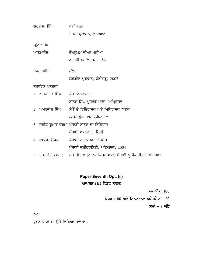| ਗੁਰਸ਼ਰਨ ਸਿੰਘ                           | ਨਵਾਂ ਜਨਮ                                                                     |
|----------------------------------------|------------------------------------------------------------------------------|
|                                        | ਚੇਤਨਾ ਪ੍ਰਕਾਸ਼ਨ, ਲੁਧਿਆਣਾ                                                      |
| ਯੁਨਿਟ ਚੌਥਾ                             |                                                                              |
| ਆਤਮਜੀਤ                                 | ਕੈਮਲੁਪਮ ਦੀਆਂ ਮਛੀਆਂ                                                           |
|                                        | ਆਰਸ਼ੀ ਪਬਲਿਸਰਜ, ਦਿੱਲੀ                                                         |
| ਸਵਰਾਜਬੀਰ                               | ਕੱਲਰ                                                                         |
|                                        | ਲੋਕਗੀਤ ਪ੍ਰਕਾਸ਼ਨ, ਚੰਡੀਗੜ੍ਹ, 2007                                              |
| ਸਹਾਇਕ ਪੁਸਤਕਾਂ                          |                                                                              |
| <u>।.  ਅਮਰਜੀਤ ਸਿੰਘ     ਪੰਜ ਨਾਟਕਕਾਰ</u> |                                                                              |
|                                        | ਨਾਨਕ ਸਿੰਘ ਪੁਸਤਕ ਮਾਲਾ, ਅਮ੍ਰਿਤਸਰ                                               |
| 2. ਅਮਰਜੀਤ ਸਿੰਘ                         | ਸੋਖੋਂ ਦੇ ਇਤਿਹਾਸਕ ਅਤੇ ਮਿਥਿਹਾਸਕ ਨਾਟਕ                                           |
|                                        | ਲਾਹੌਰ ਬੁੱਕ ਸ਼ਾਪ, ਲੁਧਿਆਣਾ                                                     |
|                                        | 3. ਸਤੀਸ਼ ਕੁਮਾਰ ਵਰਮਾ ਪੰਜਾਬੀ ਨਾਟਕ ਦਾ ਇਤਿਹਾਸ                                    |
|                                        | ਪੰਜਾਬੀ ਅਕਾਡਮੀ, ਦਿਲੀ                                                          |
| 4. ਕਮਲੇਸ਼ ਉੱਪਲ                         | ਪੰਜਾਬੀ ਨਾਟਕ ਅਤੇ ਰੰਗਮੰਚ                                                       |
|                                        | ਪੰਜਾਬੀ ਯੂਨੀਵਰਸਿਟੀ, ਪਟਿਆਲਾ, 2004                                              |
|                                        | 5. ਰ.ਸ.ਜੱਗੀ (ਸੰਪਾ) ਖੋਜ ਪੱਤ੍ਰਿਕਾ (ਨਾਟਕ ਵਿਸ਼ੇਸ ਅੰਕ) ਪੰਜਾਬੀ ਯੂਨੀਵਰਸਿਟੀ, ਪਟਿਆਲਾ। |

## **Paper Seventh Opt. (ii)** ਆਪਸ਼ਨ (II) ਵਿਸ਼ਵ ਨਾਟਕ

ਕੁਲ ਅੰਕ: 100

ਪੇਪਰ : 80 ਅਤੇ ਇਨਟਰਨਲ ਅਸੈਸਮੈਂਟ : 20

ਸਮਾਂ – 3 ਘੰਟੇ

ਨੋਟ:

ਪ੍ਰਸ਼ਨ ਪੱਤਰ ਦਾ ਉਤੇ ਲਿਖਿਆ ਜਾਵੇਗਾ :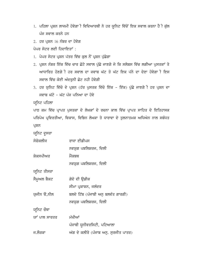- 1. ਪਹਿਲਾ ਪ੍ਰਸ਼ਨ ਲਾਜਮੀ ਹੋਵੇਗਾ ੀ ਵਿਦਿਆਰਥੀ ਨੇ ਹਰ ਯੁਨਿਟ ਵਿੱਚੋਂ ਇਕ ਸਵਾਲ ਕਰਨਾ ਹੈ ੀ ਕੁੱਲ ਪੰਜ ਸਵਾਲ ਕਰਨੇ ਹਨ
- $2.$  ਹਰ ਪ੍ਰਸ਼ਨ  $16$  ਨੰਬਰ ਦਾ ਹੋਵੇਗ

ਪੇਪਰ ਸੇਟਰ ਲਈ ਹਿਦਾਇਤਾਂ :

- 1. ਪੇਪਰ ਸੇਟਰ ਪ੍ਰਸ਼ਨ ਪੱਤਰ ਵਿੱਚ ਕਲ ਨੌਂ ਪ੍ਰਸ਼ਨ ਪੱਛੇਗਾ
- 2. ਪ੍ਰਸ਼ਨ ਨੰਬਰ ਇੱਕ ਵਿੱਚ ਚਾਰ ਛੋਟੇ ਸਵਾਲ ਪੁੱਛੇ ਜਾਣਗੇ ਜੇ ਕਿ ਸਲੇਬਸ ਵਿੱਚ ਲਗੀਆ ਪੁਸਤਕਾਂ ਤੇ ਆਧਾਰਿਤ ਹੋਣਗੇ**ੀ ਹਰ ਸਵਾਲ ਦਾ ਜਵਾਬ ਘੱਟ ਤੋ ਘੱਟ ਇਕ ਪੱਨੇ** ਦਾ ਦੇਣਾ ਹੋਵੇਗਾ ੀ ਇਸ ਸਵਾਲ ਵਿੱਚ ਕੋਈ ਅੰਦਰਨੀ ਛੋਟ ਨਹੀ ਹੋਵੇਗੀ
- 3. ਹਰ ਯੁਨਿਟ ਵਿੱਚੋ ਦੇ ਪ੍ਰਸ਼ਨ (ਹੱਰ ਪੁਸਤਕ ਵਿੱਚੋ ਇੱਕ ਇੱਕ) ਪੁੱਛੇ ਜਾਣਗੇੀ ਹਰ ਪ੍ਰਸ਼ਨ ਦਾ ਜਵਾਬ ਘੱਟੋ - ਘੱਟ ਪੰਜ ਪਨਿਆ ਦਾ ਹੋਵੇ
- ਯਨਿਟ ਪਹਿਲਾ

ਪਾਠ ਕਮ ਵਿੱਚ ਪ੍ਰਾਪਤ ਪੁਸਤਕਾ ਦੇ ਲੇਖਕਾਂ ਦੇ ਰਚਨਾ ਕਾਲ ਵਿੱਚ ਪ੍ਰਾਪਤ ਸਾਹਿਤ ਦੇ ਇਤਿਹਾਸਕ ਪਰਿਪੇਖ ਪ੍ਰਵਿਰਤੀਆ, ਵਿਕਾਸ, ਵਿਭਿਨ ਲੇਖਕਾ ਤੇ ਧਾਰਾਵਾ ਦੇ ਤੁਲਨਾਤਮਕ ਅਧਿਐਨ ਨਾਲ ਸਬੰਧਤ ਪ੍ਰਸ਼ਨ

ਯੁਨਿਟ ਦੁਸਰਾ

| ਸੋਫੋਕਲੀਜ      | ਰਾਜਾ ਈਡੀਪਸ                            |
|---------------|---------------------------------------|
|               | ਨਵਯੁਗ ਪਬਲਿਸ਼ਰਜ, ਦਿਲੀ                  |
| ਸ਼ੇਕਸਪੀਅਰ     | ਮੈੱਕਬਥ                                |
|               | ਨਵਯੁਗ ਪਬਲਿਸ਼ਰਜ, ਦਿਲੀ                  |
| ਯੁਨਿਟ ਤੀਸਰਾ   |                                       |
| ਸੈਮੁਅਲ ਬੈਕਟ   | ਗੋਦੋ ਦੀ ਉਡੀਕ                          |
|               | ਸੀਮਾ ਪ੍ਰਕਾਸ਼ਨ, ਜਲੰਦਰ                  |
| ਯੂਜੀਨ ੳ,ਨੀਲ   | ਬਲਦੇ ਟਿੱਬ (ਪੰਜਾਬੀ ਅਨੁ ਬਲਵੰਤ ਗਾਰਗੀ)    |
|               | ਨਵਯੁਗ ਪਬਲਿਸ਼ਰਜ, ਦਿਲੀ                  |
| ਯੁਨਿਟ ਚੌਥਾ    |                                       |
| ਯਾਂ ਪਾਲ ਸਾਰਤਰ | ਮੱਖੀਆਂ                                |
|               | ਪੰਜਾਬੀ ਯੂਨੀਵਰਸਿਟੀ, ਪਟਿਆਲਾ             |
| ਜ.ਲੌਰਕਾ       | ਅੱਗ ਦੇ ਕਲੀਰੇ (ਪੰਜਾਬ ਅਨੁ. ਸੁਰਜੀਤ ਪਾਤਰ) |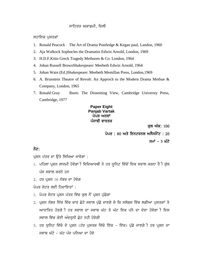#### ਸਾਹਿਤਯ ਅਕਾਡਮੀ, ਦਿਲੀ

ਸਹਾਇਕ ਪੁਸਤਕਾਂ

- 1. Ronald Peacock The Art of Drama Pontledge & Kegan paul, Landon, 1960
- 2. Aja Walkock Sophocles the Dramatist Edwin Arnold, London, 1969
- 3. H.D.F.Kitto Greck Tragedy Methuren & Co. London, 1964
- 4. Johan Russell BrownShakespeare: Meebeth Edwin Arnold, 1964
- 5. Johan Wain (Ed.)Shakespeare: Meebeth Memillan Press, London,1969
- 6. A. Brunstein Theatre of Revolt: An Approch to the Modern Drama Methue & Company, London, 1965
- 7. Ronald Gray Ibsen: The Dissenting View, Cambridge Universty Press, Cambridge, 1977

#### **Paper Eight Panjab Vartak** ਪੇਪਰ ਅਠਵਾਂ ਪੰਜਾਬੀ ਵਾਰਤਕ

ਕਲ ਅੰਕ: 100

ਪੇਪਰ : 80 ਅਤੇ ਇਨਟਰਨਲ ਅਸੈਸਮੈਂਟ : 20

ਸਮਾਂ – 3 ਘੰਟੇ

#### ਨੋਟ:

ਪਸ਼ਨ ਪੱਤਰ ਦਾ ਉਤੇ ਲਿਖਿਆ ਜਾਵੇਗਾ :

- 1. ਪਹਿਲਾ ਪ੍ਰਸ਼ਨ ਲਾਜਮੀ ਹੋਵੇਗਾ ੀ ਵਿਦਿਆਰਥੀ ਨੇ ਹਰ ਯੁਨਿਟ ਵਿੱਚੋਂ ਇਕ ਸਵਾਲ ਕਰਨਾ ਹੈ ੀ ਕੁੱਲ ਪੰਜ ਸਵਾਲ ਕਰਨੇ ਹਨ
- $2.$  ਹਰ ਪਸ਼ਨ 16 ਨੰਬਰ ਦਾ ਹੋਵੇਗ

ਪੇਪਰ ਸੇਟਰ ਲਈ ਹਿਦਾਇਤਾਂ $\cdot$ 

- 1. ਪੇਪਰ ਸੇਟਰ ਪੁਸ਼ਨ ਪੱਤਰ ਵਿੱਚ ਕਲ ਨੌਂ ਪੁਸ਼ਨ ਪੱਛੇਗਾ
- 2. ਪੁਸ਼ਨ ਨੰਬਰ ਇੱਕ ਵਿੱਚ ਚਾਰ ਛੋਟੇ ਸਵਾਲ ਪੱਛੇ ਜਾਣਗੇ ਜੇ ਕਿ ਸਲੇਬਸ ਵਿੱਚ ਲਗੀਆ ਪੁਸਤਕਾਂ ਤੇ ਆਧਾਰਿਤ ਹੋਣਗੇੀ ਹਰ ਸਵਾਲ ਦਾ ਜਵਾਬ ਘੱਟ ਤੋ ਘੱਟ ਇਕ ਪੱਨੇ ਦਾ ਦੇਣਾ ਹੋਵੇਗਾੀ ਇਸ ਸਵਾਲ ਵਿੱਚ ਕੋਈ ਅੰਦਰਨੀ ਛੋਟ ਨਹੀ ਹੋਵੇਗੀ
- 3. ਹਰ ਯੁਨਿਟ ਵਿੱਚੋ ਦੇ ਪ੍ਰਸ਼ਨ (ਹੱਰ ਪੁਸਤਕ ਵਿੱਚੋ ਇੱਕ ਇੱਕ) ਪੁੱਛੇ ਜਾਣਗੇ ੀ ਹਰ ਪ੍ਰਸ਼ਨ ਦਾ ਜਵਾਬ ਘੱਟੋ - ਘੱਟ ਪੰਜ ਪਨਿਆ ਦਾ ਹੋਵੇ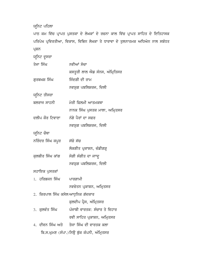### ਯੂਨਿਟ ਪਹਿਲਾ

ਪਾਠ ਕਮ ਵਿੱਚ ਪ੍ਰਾਪਤ ਪੁਸਤਕਾ ਦੇ ਲੇਖਕਾਂ ਦੇ ਰਚਨਾ ਕਾਲ ਵਿੱਚ ਪ੍ਰਾਪਤ ਸਾਹਿਤ ਦੇ ਇਤਿਹਾਸਕ ਪਰਿਪੇਖ ਪ੍ਰਵਿਰਤੀਆ, ਵਿਕਾਸ, ਵਿਭਿਨ ਲੇਖਕਾ ਤੇ ਧਾਰਾਵਾ ਦੇ ਤੁਲਨਾਤਮਕ ਅਧਿਅੇਨ ਨਾਲ ਸਬੰਧਤ ਪ੍ਰਸ਼ਨ

ਯੂਨਿਟ ਦੂਸਰਾ

| ਤੇਜਾ ਸਿੰਘ                         | ਨਵੀਆਂ ਸੋਚਾ                              |
|-----------------------------------|-----------------------------------------|
|                                   | ਕਸਤੂਰੀ ਲਾਲ ਐਡ ਸੰਨਸ, ਅੰਮ੍ਰਿਤਿਸਰ          |
| ਗੁਰਬਖਸ਼ ਸਿੰਘ                      | ਜਿੰਦਗੀ ਦੀ ਰਾਮ                           |
|                                   | ਨਵਯੁਗ ਪਬਲਿਸ਼ਰਜ, ਦਿਲੀ                    |
| ਯੁਨਿਟ ਤੀਸਰਾ                       |                                         |
| ਬਲਰਾਜ ਸਾਹਨੀ                       | ਮੇਰੀ ਫਿਲਮੀ ਆਤਮਕਥਾ                       |
|                                   | ਨਾਨਕ ਸਿੰਘ ਪੁਸਤਕ ਮਾਲਾ, ਅਮ੍ਰਿਤਸਰ          |
| ਦਲੀਪ ਕੌਰ ਟਿਵਾਣਾ                   | ਨੰਗੇ ਪੈਰਾਂ ਦਾ ਸਫਰ                       |
|                                   | ਨਵਯੁਗ ਪਬਲਿਸ਼ਰਜ, ਦਿਲੀ                    |
| ਯੁਨਿਟ ਚੌਥਾ                        |                                         |
| ਨਰਿੰਦਰ ਸਿੰਘ ਕਪੁਰ                  | ਸੱਚੋ ਸੱਚ                                |
|                                   | ਲੋਕਗੀਤ ਪ੍ਰਕਾਸ਼ਨ, ਚੰਡੀਗੜ੍ਹ               |
| ਕੁਲਬੀਰ ਸਿੰਘ ਕਾਂਗ                  | ਸੋਗੀ ਸੰਗੀਤ ਦਾ ਜਾਾਦੁ                     |
|                                   | ਨਵਯੁਗ ਪਬਲਿਸ਼ਰਜ, ਦਿਲੀ                    |
| ਸਹਾਇਕ ਪੁਸਤਕਾਂ                     |                                         |
| 1.  ਹਰਿਭਜਨ ਸਿੰਘ                   | ਪਾਰਗਾਮੀ                                 |
|                                   | ਨਵਚੇਤਨ ਪ੍ਰਕਾਸ਼ਨ, ਅਮ੍ਰਿਤਸਰ               |
| 2.  ਕਿਰਪਾਲ ਸਿੰਘ ਕਸੇਲਆਧੁਨਿਕ ਗੱਦਕਾਰ |                                         |
|                                   | ਕੁਲਦੀਪ ਪ੍ਰੈਸ, ਅੰਮ੍ਰਿਤਸਰ                 |
| 3. ਕੁਲਵੰਤ ਸਿੰਘ                    | ਪੰਜਾਬੀ ਵਾਰਤਕ: ਸੰਚਾਰ ਤੇ ਵਿਹਾਰ            |
|                                   | ਰਵੀ ਸਾਹਿਤ ਪ੍ਰਕਾਸ਼ਨ, ਅਮ੍ਰਿਤਸਰ            |
|                                   | 4. ਦੀਵਨ ਸਿੰਘ ਅਤੇ ਤੇਜਾ ਸਿੰਘ ਦੀ ਵਾਰਤਕ ਕਲਾ |
|                                   |                                         |

ਬਿ.ਸ.ਘੁਮਣ (ਸੰਪਾ.)ਨਿਉ ਬੁੱਕ ਕੰਪਨੀ, ਅੰਮ੍ਰਿਤਸਰ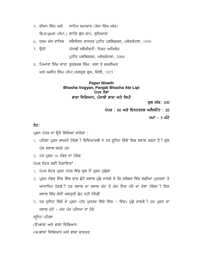- 5. ਦੀਵਨ ਸਿੰਘ ਅਤੇ ਸਾਹਿਤ ਸਮਾਚਾਰ (ਤੇਜਾ ਸਿੰਘ ਅੰਕ) ਬਿ.ਸ.ਘਮਣ (ਸੰਪਾ.) ਲਾਹੌਰ ਬੱਕ ਸ਼ਾਪ, ਲਧਿਆਣਾ
- 6. ਧਰਮ ਚੰਦ ਵਾਤਿਸ਼ ਸਵੈਜੀਵਨ ਸ਼ਾਸਤਰ ਪਨੀਤ ਪਬਲਿਸ਼ਰਜ, ਮਲੇਰਕੋਟਲਾ, 1999
- 7. ਉਹੀ ਪੰਜਾਬੀ ਸਵੈਜੀਵਨੀ: ਨਿਕਟ ਅਧਿਐਨ ਪਨੀਤ ਪਬਲਿਸ਼ਰਜ, ਮਲੇਰਕੋਟਲਾ,  $2000$
- 8. ਪਿਆਰਾ ਸਿੰਘ ਦਾਤਾ ਗਰਬਖਸ਼ ਸਿੰਘ: ਕਲਾ ਤੇ ਸ਼ਖਸੀਅਤ  $m$ ਤੇ ਅਜੀਤ ਸਿੰਘ (ਸੰਪਾ.)ਨਵਯੁਗ ਫ੍ਰਸ, ਦਿੱਲੀ, 1973

#### **Paper Nineth Bhasha Vogyan, Panjab Bhasha Ate Lipi** ਪੇਪਰ ਨੌਵਾਂ ਭਾਸ਼ਾ ਵਿਗਿਆਨ, ਪੰਜਾਬੀ ਭਾਸ਼ਾ ਅਤੇ ਲਿਪੀ

ਕਲ ਅੰਕ: 100

ਪੇਪਰ : 80 ਅਤੇ ਇਨਟਰਨਲ ਅਸੈਸਮੈਂਟ : 20

ਸਮਾਂ – 3 ਘੰਟੇ

#### ਨੋਟ:

ਪਸ਼ਨ ਪੱਤਰ ਦਾ ਉਤੇ ਲਿਖਿਆ ਜਾਵੇਗਾ :

- 1. ਪਹਿਲਾ ਪ੍ਰਸ਼ਨ ਲਾਜਮੀ ਹੋਵੇਗਾ ੀ ਵਿਦਿਆਰਥੀ ਨੇ ਹਰ ਯੁਨਿਟ ਵਿੱਚੋਂ ਇਕ ਸਵਾਲ ਕਰਨਾ ਹੈ ੀ ਕੁੱਲ ਪੰਜ ਸਵਾਲ ਕਰਨੇ ਹਨ
- $2.$  ਹਰ ਪਸ਼ਨ  $16$  ਨੰਬਰ ਦਾ ਹੋਵੇਗ

ਪੇਪਰ ਸੇਟਰ ਲਈ ਹਿਦਾਇਤਾਂ $\,$  :

- 1. ਪੇਪਰ ਸੇਟਰ ਪ੍ਰਸ਼ਨ ਪੱਤਰ ਵਿੱਚ ਕੁਲ ਨੌਂ ਪ੍ਰਸ਼ਨ ਪੁੱਛੇਗਾ
- 2. ਪਸ਼ਨ ਨੰਬਰ ਇੱਕ ਵਿੱਚ ਚਾਰ ਛੋਟੇ ਸਵਾਲ ਪੱਛੇ ਜਾਣਗੇ ਜੇ ਕਿ ਸਲੇਬਸ ਵਿੱਚ ਲਗੀਆ ਪਸਤਕਾਂ ਤੇ ਆਧਾਰਿਤ ਹੋਣਗੇ**ੀ ਹਰ ਸਵਾਲ ਦਾ ਜਵਾਬ ਘੱਟ ਤੋ ਘੱਟ ਇਕ ਪੱਨੇ** ਦਾ ਦੇਣਾ ਹੋਵੇਗਾ ੀ ਇਸ ਸਵਾਲ ਵਿੱਚ ਕੋਈ ਅੰਦਰਨੀ ਛੋਟ ਨਹੀ ਹੋਵੇਗੀ
- 3. ਹਰ ਯੁਨਿਟ ਵਿੱਚੋ ਦੇ ਪ੍ਰਸ਼ਨ (ਹੱਰ ਪੁਸਤਕ ਵਿੱਚੋ ਇੱਕ ਇੱਕ) ਪੁੱਛੇ ਜਾਣਗੇ ੀ ਹਰ ਪ੍ਰਸ਼ਨ ਦਾ ਜਵਾਬ ਘੱਟੋ - ਘੱਟ ਪੰਜ ਪੁਨਿਆ ਦਾ ਹੋਵੇ

ਯੁਨਿਟ ਪਹਿਲਾ

- (ੳ)ਭਾਸ਼ਾ ਅਤੇ ਭਾਸ਼ਾ ਵਿਗਿਆਨ
- (ਅ)ਭਾਸ਼ਾ ਵਿਗਿਆਨ ਅਤੇ ਭਾਸ਼ਾ ਸ਼ਾਸਤਰ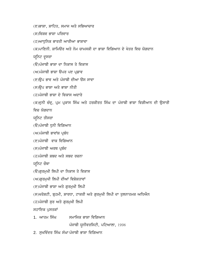(ੲ)ਭਾਸ਼ਾ, ਸ਼ਾਹਿਤ, ਸਮਾਜ ਅਤੇ ਸਭਿਆਚਾਰ

 $(H)$ ਵਿਸ਼ਵ ਕਾਸ਼ਾ ਪਰਿਵਾਰ

(ਹ)ਆਧਨਿਕ ਭਾਰਤੀ ਆਰੀਆ ਭਾਸ਼ਾਵਾ

 $\alpha$ )ਪਾਣਿਨੀ, ਸ਼ਾਮਿਊਰ ਅਤੇ ਨੋਮ ਚਾਮਸਕੀ ਦਾ ਭਾਸ਼ਾ ਵਿਗਿਆਨ ਦੇ ਖੇਤਰ ਵਿਚ ਯੋਗਦਾਨ

ਯੁਨਿਟ ਦੁਸਰਾ

(ੳ)ਪੰਜਾਬੀ ਭਾਸ਼ਾ ਦਾ ਨਿਕਾਸ ਤੇ ਵਿਕਾਸ

(ਅ)ਪੰਜਾਬੀ ਭਾਸ਼ਾ ੳਪਰ ਪੲ ਪ੍ਰਡਾਵ

(ੲ)ੳਪ ਭਾਵ ਅਤੇ ਪੰਜਾਬੀ ਦੀਆ ੳਸ ਸਾਵਾ

(ਸ)ਉਪ ਭਾਸ਼ਾ ਅਤੇ ਭਾਸ਼ਾ ਨੀਤੀ

(ਹ)ਪੰਜਾਬੀ ਭਾਸ਼ਾ ਦੇ ਵਿਕਾਸ ਅਦਾਰੇ

(ਕ)ਦੁਨੀ ਚੰਦ੍ਰ, ਪ੍ਰਮ ਪ੍ਰਕਾਸ ਸਿੰਘ ਅਤੇ ਹਰਕੀਰਤ ਸਿੰਘ ਦਾ ਪੰਜਾਬੀ ਭਾਸ਼ਾ ਵਿਗੀਆਨ ਦੀ ਉਸਾਰੀ

ਵਿਚ ਯੋਗਦਾਨ

ਯੁਨਿਟ ਤੀਸਰਾ

 $(\theta)$ ਪੰਜਾਬੀ ਧੁਨੀ ਵਿਗਿਆਨ

 $(M)$ ਪੰਜਾਬੀ ਭਾਵਾਂਸ਼ ਪ੍ਰਬੰਧ

(ੲ)ਪੰਜਾਬੀ ਵਾਕ ਵਿਗਿਆਨ

 $(H)$ ਪੰਜਾਬੀ ਅਰਥ ਪ੍ਰਬੰਦ

 $\sigma$ (ਹ)ਪੰਜਾਬੀ ਸ਼ਬਦ ਅਤੇ ਸ਼ਬਦ ਰਚਨਾ

ਯੁਨਿਟ ਚੌਥਾ

(ੳ)ਗਰਮਖੀ ਲਿਪੀ ਦਾ ਨਿਕਾਸ ਤੇ ਵਿਕਾਸ

 $(M)$ ਗਰਮੁਖੀ ਲਿਪੀ ਦੀਆਂ ਵਿਸ਼ੇਸ਼ਤਾਵਾਂ

(ੲ)ਪੰਜਾਬੀ ਭਾਸ਼ਾ ਅਤੇ ਗਰਮਖੀ ਲਿਪੀ

(ਸ)ਖਰੋਸ਼ਟੀ, ਬਹਮੀ, ਸ਼ਾਰਧਾ, ਟਾਕਰੀ ਅਤੇ ਗੁਰਮੁਖੀ ਲਿਪੀ ਦਾ ਤੁਲਨਾਤਮਕ ਅਧਿਐਨ

(ਹ)ਪੰਜਾਬੀ ਸੁਰ ਅਤੇ ਗੁਰਮੁਖੀ ਲਿਪੀ

ਸਹਾਇਕ ਪੁਸਤਕਾਂ

1. ਆਤਮ ਸਿੰਘ ਸਮਾਜਿਕ ਭਾਸ਼ਾ ਵਿਗਿਆਨ

ਪੰਜਾਬੀ ਯੂਨੀਵਰਸਿਟੀ, ਪਟਿਆਲਾ,  $1998$ 

2. ਸੁਖਵਿੰਦਰ ਸਿੰਘ ਸੰਘਾ ਪੰਜਾਬੀ ਭਾਸ਼ਾ ਵਿਗਿਆਨ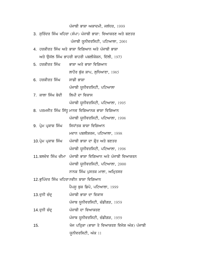ਪੰਜਾਬੀ ਭਾਸ਼ਾ ਅਕਾਦਮੀ, ਜਲੰਧਰ, 1999

- 3. ਸੁਰਿੰਦਰ ਸਿੰਘ ਖਹਿਰਾ (ਸੰਪਾ) ਪੰਜਾਬੀ ਭਾਸ਼ਾ: ਵਿਆਕਰਣ ਅਤੇ ਬਣਤਰ ਪੰਜਾਬੀ ਯੁਨੀਵਰਸਿਟੀ, ਪਟਿਆਲਾ,  $2001$
- 4. ਹਰਕੀਰਤ ਸਿੰਘ ਅਤੇ ਭਾਸ਼ਾ ਵਿਗਿਆਨ ਅਤੇ ਪੰਜਾਬੀ ਭਾਸ਼ਾ  $m$ ਤੇ ਉਜੱਲ ਸਿੰਘ ਭਾਹਰੀ ਬਾਹਰੀ ਪਬਲੀਕੇਸ਼ਨ, ਦਿੱਲੀ, 1973
- 5. ਹਰਕੀਰਤ ਸਿੰਘ ਭਾਸ਼ਾ ਅਤੇ ਭਾਸ਼ਾ ਵਿਗਿਆਨ ਲਾਹੌਰ ਬੁੱਕ ਸ਼ਾਪ, ਲੁਧਿਆਣਾ, 1985
- 6. ਹਰਕੀਰਤ ਸਿੰਘ ਮਾਡੀ ਭਾਸ਼ਾ ਪੰਜਾਬੀ ਯੂਨੀਵਰਸਿਟੀ, ਪਟਿਆਲਾ
- 7. ਕਾਲਾ ਸਿੰਘ ਬੇਦੀ ਲਿਪੀ ਦਾ ਵਿਕਾਸ ਪੰਜਾਬੀ ਯੂਨੀਵਰਸਿਟੀ, ਪਟਿਆਲਾ,  $1995$
- 8. ਪਰਮਜੀਤ ਸਿੰਘ ਸਿੱਧੂ ਮਾਨਵ ਵਿਗਿਆਨਕ ਭਾਸ਼ਾ ਵਿਗਿਆਨ ਪੰਜਾਬੀ ਯੁਨੀਵਰਸਿਟੀ, ਪਟਿਆਲਾ,  $1998$
- 9. ਪ੍ਰੇਮ ਪ੍ਰਕਾਸ਼ ਸਿੰਘ ਸਿਧਾਂਤਕ ਬਾਸ਼ਾ ਵਿਗਿਆਨ ਮਦਾਨ ਪਬਲੀਸ਼ਰਜ, ਪਟਿਆਲਾ,  $1998$
- 10.ਪ੍ਰੇਮ ਪ੍ਰਕਾਸ਼ ਸਿੰਘ ਪੰਜਾਬੀ ਭਾਸ਼ਾ ਦਾ ਸ਼ੌਤ ਅਤੇ ਬਣਤਰ ਪੰਜਾਬੀ ਯੂਨੀਵਰਸਿਟੀ, ਪਟਿਆਲਾ,  $1998$
- 11.ਬਲਦੇਵ ਸਿੰਘ ਚੀਮਾ ਪੰਜਾਬੀ ਭਾਸ਼ਾ ਵਿਗਿਆਨ ਅਤੇ ਪੰਜਾਬੀ ਵਿਆਕਰਨ ਪੰਜਾਬੀ ਯੂਨੀਵਰਸਿਟੀ, ਪਟਿਆਲਾ,  $2000$ ਨਾਨਕ ਸਿੰਘ ਪਸਤਕ ਮਾਲਾ, ਅਮਿਤਸਰ
- 12.ਭਪਿੰਦਰ ਸਿੰਘ ਖਹਿਰਾਨਵੀਨ ਬਾਸ਼ਾ ਵਿਗਿਆਨ

ਪੈਪਸੂ ਬੁਕ ਡਿਪੋ, ਪਟਿਆਲਾ, 1999

13.ਦੁਨੀ ਚੰਦ੍ਰ ਪੰਜਾਬੀ ਭਾਸ਼ਾ ਦਾ ਵਿਕਾਸ

 $\nu$ ੰਜਾਬ ਯੂਨੀਵਰਸਿਟੀ, ਚੰਡੀਗੜ, 1959

- 14.ਦੁਨੀ ਚੰਦ੍ਰ ਪੰਜਾਬੀ ਦਾ ਵਿਆਕਰਣ  $\nu$ ੰਜਾਬ ਯੂਨੀਵਰਸਿਟੀ, ਚੰਡੀਗੜ, 1959
- 15. Koj piqRkw (BwSw qy ivAwkrx ivjyS AMk) pMjwbI ਯੂਨੀਵਰਸਿਟੀ, ਅੰਕ 11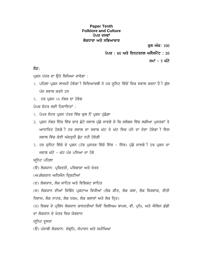#### **Paper Tenth Folklore and Culture** ਪੇਪਰ ਦਸਵਾਂ ਲੋਕਧਾਰਾ ਅਤੇ ਸਭਿਆਚਾਰ

ਕਲ ਅੰਕ: 100

ਪੇਪਰ : 80 ਅਤੇ ਇਨਟਰਨਲ ਅਸੈਸਮੈਂਟ : 20

ਸਮਾਂ – 3 ਘੰਟੇ

#### ਨੋਟ:

ਪ੍ਰਸ਼ਨ ਪੱਤਰ ਦਾ ੳਤੇ ਲਿਖਿਆ ਜਾਵੇਗਾ :

- 1. ਪਹਿਲਾ ਪ੍ਰਸ਼ਨ ਲਾਜਮੀ ਹੋਵੇਗਾ ੀ ਵਿਦਿਆਰਥੀ ਨੇ ਹਰ ਯੁਨਿਟ ਵਿੱਚੋਂ ਇਕ ਸਵਾਲ ਕਰਨਾ ਹੈ ੀ ਕੁੱਲ ਪੰਜ ਸਵਾਲ ਕਰਨੇ ਹਨ
- $3.$  ਹਰ ਪ੍ਰਸ਼ਨ  $16$  ਨੰਬਰ ਦਾ ਹੋਵੇਗ

 $\hat{v}$ ਪੇਪਰ ਸੇਟਰ ਲਈ ਗਿਜ਼ਾਇਤਾਂ $\cdot$ 

- 1. ਪੇਪਰ ਸੇਟਰ ਪ੍ਰਸ਼ਨ ਪੱਤਰ ਵਿੱਚ ਕੁਲ ਨੌਂ ਪ੍ਰਸ਼ਨ ਪੁੱਛੇਗਾ
- 2. ਪਸ਼ਨ ਨੰਬਰ ਇੱਕ ਵਿੱਚ ਚਾਰ ਛੋਟੇ ਸਵਾਲ ਪੱਛੇ ਜਾਣਗੇ ਜੇ ਕਿ ਸਲੇਬਸ ਵਿੱਚ ਲਗੀਆ ਪਸਤਕਾਂ ਤੇ ਆਧਾਰਿਤ ਹੋਣਗੇੀ ਹਰ ਸਵਾਲ ਦਾ ਜਵਾਬ ਘੱਟ ਤੋ ਘੱਟ ਇਕ ਪੱਨੇ ਦਾ ਦੇਣਾ ਹੋਵੇਗਾੀ ਇਸ ਸਵਾਲ ਵਿੱਚ ਕੋਈ ਅੰਦਰਨੀ ਛੋਟ ਨਹੀ ਹੋਵੇਗੀ
- 3. ਹਰ ਯੂਨਿਟ ਵਿੱਚੋ ਦੇ ਪ੍ਰਸ਼ਨ (ਹੱਰ ਪੁਸਤਕ ਵਿੱਚੋ ਇੱਕ ਇੱਕ) ਪੁੱਛੇ ਜਾਣਗੇ ੀ ਹਰ ਪ੍ਰਸ਼ਨ ਦਾ ਜਵਾਬ ਘੱਟੋ - ਘੱਟ ਪੰਜ ਪੁਨਿਆ ਦਾ ਹੋਵੇ

ਯੁਨਿਟ ਪਹਿਲਾ

- (ੳ) ਲੋਕਯਾਨ: ਪ੍ਰਕਿਰਤੀ, ਪਰਿਬਾਸ਼ਾ ਅਤੇ ਖੇਤਰ
- (ਅ)ਲੋਕਯਾਨ ਅਧਿਐਨ ਦ੍ਰਿਸ਼ਟੀਆਂ
- (ੲ) ਲੋਕਯਾਨ, ਲੋਕ ਸਾਹਿਤ ਅਤੇ ਵਿਸ਼ਿਸ਼ਟ ਸਾਹਿਤ

(ਸ) ਲੋਕਯਾਨ ਦੀਆਂ ਵਿਭਿੰਨ ਪੁਗਟਾਅ ਵਿਧੀਆਂ (ਲੋਕ ਗੀਤ, ਲੋਕ ਕਥਾ, ਲੋਕ ਵਿਸ਼ਵਾਸ਼, ਰੀਤੀ ਰਿਵਾਜ, ਲੋਕ ਨਾਟਕ, ਲੋਕ ਧਰਮ, ਲੋਕ ਕਲਾਵਾਂ ਅਤੇ ਲੋਕ ਨ੍ਰਿਤ)

(ਹ) ਵਿਸ਼ਵ ਦੇ ਪ੍ਰਸ਼ਿੱਧ ਲੋਕਯਾਨ ਸ਼ਾਸਤਰੀਆਂ ਜਿਵੇਂ ਵਿਲੀਅਮ ਥਾਮਸ, ਵੀ. ਪ੍ਰਪਿ, ਅਤੇ ਐਲਿਨ ਡੰਡੀ ਦਾ ਲੋਕਯਾਨ ਦੇ ਖੇਤਰ ਵਿਚ ਯੋਗਦਾਨ

ਯਨਿਟ ਦੁਸਰਾ

(ੳ) ਪੰਜਾਬੀ ਲੋਕਯਾਨ: ਸੰਗੂਹਿ, ਸੰਪਾਦਨ ਅਤੇ ਸਮੀਖਿਆ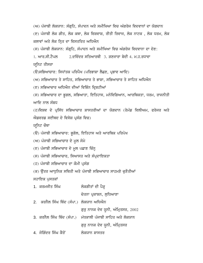(ਅ) ਪੰਜਾਬੀ ਲੋਕਯਾਨ: ਸੰਗਹਿ, ਸੰਪਾਦਨ ਅਤੇ ਸਮੀਖਿਆ ਵਿਚ ਅੰਗਰੇਜ ਵਿਦਵਾਨਾਂ ਦਾ ਯੋਗਦਾਨ (ੲ) ਪੰਜਾਬੀ ਲੋਕ ਗੀਤ, ਲੋਕ ਕਥਾ, ਲੋਕ ਵਿਸ਼ਵਾਸ਼, ਰੀਤੀ ਰਿਵਾਜ, ਲੋਕ ਨਾਟਕ , ਲੋਕ ਧਰਮ, ਲੋਕ ਕਲਾਵਾਂ ਅਤੇ ਲੋਕ ਨ੍ਰਿਤ ਦਾ ਵਿਸਤਰਿਤ ਅਧਿਐਨ

 $(n)$  ਪੰਜਾਬੀ ਲੋਕਯਾਨ: ਸੰਗ੍ਰਹਿ, ਸੰਪਾਦਨ ਅਤੇ ਸਮੀਖਿਆ ਵਿਚ ਅੰਗਰੇਜ ਵਿਦਵਾਨਾ ਦਾ ਦੇਣ:

<u>1. ਆਰ.ਸੀ.ਟੈਪਲ 2.ਦਵਿੰਦਰ ਸਤਿਆਰਥੀ 3. ਤਣਜਾਰਾ ਬੇਦੀ 4. ਮ.ਹ.ਰਧਾਵਾ</u>

ਯੁਨਿਟ ਤੀਸਰਾ

 $\mathcal{L}(\Theta)$ ਸਭਿਆਚਾਰ: ਸਿਧਾਂਤਕ ਪਰਿਪੈਖ (ਪਰਿਭਾਸ਼ਾ ਲੈਛਣ, ਪ੍ਰਭਾਵ ਆਦਿ)

(ਅ) ਸਭਿਆਚਾਰ ਤੇ ਸਾਹਿਤ, ਸਭਿਆਚਾਰ ਤੇ ਭਾਸ਼ਾ, ਸਭਿਆਚਾਰ ਤੇ ਸਾਹਿਤ ਅਧਿਐਨ

(ੲ) ਸਭਿਆਚਾਰ ਅਧਿਐਨ ਦੀਆਂ ਵਿਭਿੰਨ ਦ੍ਰਿਸ਼ਟੀਆਂ

(ਸ) ਸਭਿਆਚਾਰ ਦਾ ਭੁਗਲ, ਸਭਿਆਤਾ, ਇਤਿਹਾਸ, ਮਨੋਵਿਗਿਆਨ, ਆਰਥਿਕਤਾ, ਧਰਮ, ਰਾਜਨੀਤੀ ਆਦਿ ਨਾਲ ਸੰਬਧ

(ਹ)ਵਿਸ਼ਵ ਦੇ ਪ੍ਰਸਿੱਧ ਸਭਿਆਚਾਰ ਸ਼ਾਸਤਰੀਆਂ ਦਾ ਯੋਗਦਾਨ (ਰੇਮੰਡ ਵਿਲੀਅਮ, ਫਰੇਜਰ ਅਤੇ  $\hat{n}$ ਡਵਰਡ ਸਈਥਦ ਦੇ ਵਿਸੇਸ਼ ਪ੍ਰਸੰਗ ਵਿਚ)

ਯੁਨਿਟ ਚੌਥਾ

(ੳ) ਪੰਜਾਬੀ ਸਭਿਆਚਾਰ: ਭੂਗੋਲ, ਇਤਿਹਾਸ ਅਤੇ ਆਰਥਿਕ ਪਰਿਪੇਖ

 $(M)$  ਪੰਜਾਬੀ ਸਭਿਆਚਾਰ ਦੇ ਮੁਲ ਸੋਮੇ

(ੲ) ਪੰਜਾਬੀ ਸਭਿਆਚਾਰ ਦੇ ਮੂਲ ਪਛਾਣ ਚਿੰਨ੍ਹ

(ਸ) ਪੰਜਾਬੀ ਸਭਿਆਚਾਰ, ਸਿਆਸਤ ਅਤੇ ਸੰਪ੍ਰਦਾਇਕਤਾ

(ਹ) ਪੰਜਾਬੀ ਸਭਿਆਚਾਰ ਦਾ ਕੌਮੀ ਪ੍ਰਸੰਗ

(ਕ) ਉੱਤਰ ਆਧੁਨਿਕ ਸਥਿਤੀ ਅਤੇ ਪੰਜਾਬੀ ਸਭਿਆਚਾਰ ਸਾਹਮਣੇ ਚੁਣੌਤੀਆਂ

ਸਹਾਇਕ ਪੁਸਤਕਾਂ

| 1. ਕਰਮਜੀਤ ਸਿੰਘ                          | ਲੋਕਗੀਤਾਂ ਦੀ ਪੈੜ੍ਹ       |
|-----------------------------------------|-------------------------|
|                                         | ਚੇਤਨਾ ਪ੍ਰਕਾਸ਼ਨ, ਲੁਧਿਆਣਾ |
| 2. ਕਰਨੈਲ ਸਿੰਘ ਥਿੰਦ (ਸੰਪਾ.) ਲੋਕਯਾਨ ਅਧਿਐਨ |                         |
|                                         |                         |

ਗੁਰੂ ਨਾਨਕ ਦੇਵ ਯੂਨੀ, ਅੰਮ੍ਰਿਤਸਰ, 2002

3. ਕਰਨੈਲ ਸਿੰਘ ਥਿੰਦ (ਸੰਪਾ.) ਮੱਧਕਾਲੀ ਪੰਜਾਬੀ ਸਾਹਿਤ ਅਤੇ ਲੋਕਯਾਨ

ਗੁਰੂ ਨਾਨਕ ਦੇਵ ਯੂਨੀ, ਅੰਮ੍ਰਿਤਸਰ

4. joigMdr isMG kYr oN lokXwn Swsqr